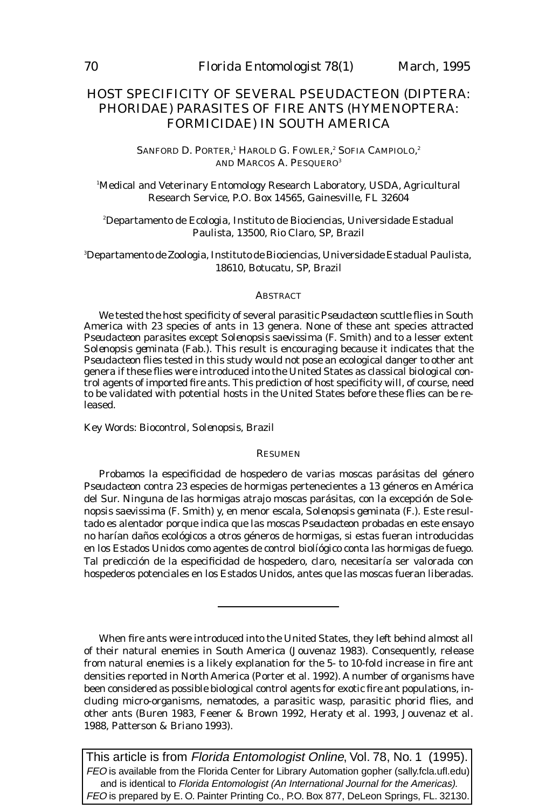# HOST SPECIFICITY OF SEVERAL *PSEUDACTEON* (DIPTERA: PHORIDAE) PARASITES OF FIRE ANTS (HYMENOPTERA: FORMICIDAE) IN SOUTH AMERICA

SANFORD D. PORTER,<sup>i</sup> HAROLD G. FOWLER,<sup>2</sup> SOFIA CAMPIOLO,<sup>2</sup> AND MARCOS A. PESQUERO<sup>3</sup>

1 Medical and Veterinary Entomology Research Laboratory, USDA, Agricultural Research Service, P.O. Box 14565, Gainesville, FL 32604

2 Departamento de Ecologia, Instituto de Biociencias, Universidade Estadual Paulista, 13500, Rio Claro, SP, Brazil

3 Departamento de Zoologia, Instituto de Biociencias, Universidade Estadual Paulista, 18610, Botucatu, SP, Brazil

## **ABSTRACT**

We tested the host specificity of several parasitic *Pseudacteon* scuttle flies in South America with 23 species of ants in 13 genera. None of these ant species attracted *Pseudacteon* parasites except *Solenopsis saevissima* (F. Smith) and to a lesser extent *Solenopsis geminata* (Fab.). This result is encouraging because it indicates that the *Pseudacteon* flies tested in this study would not pose an ecological danger to other ant genera if these flies were introduced into the United States as classical biological control agents of imported fire ants. This prediction of host specificity will, of course, need to be validated with potential hosts in the United States before these flies can be released.

Key Words: Biocontrol, *Solenopsis*, Brazil

## RESUMEN

Probamos la especificidad de hospedero de varias moscas parásitas del género *Pseudacteon* contra 23 especies de hormigas pertenecientes a 13 géneros en América del Sur. Ninguna de las hormigas atrajo moscas parásitas, con la excepción de *Solenopsis saevissima* (F. Smith) y, en menor escala, *Solenopsis geminata* (F.). Este resultado es alentador porque indica que las moscas *Pseudacteon* probadas en este ensayo no harían daños ecológicos a otros géneros de hormigas, si estas fueran introducidas en los Estados Unidos como agentes de control biolíógico conta las hormigas de fuego. Tal predicción de la especificidad de hospedero, claro, necesitaría ser valorada con hospederos potenciales en los Estados Unidos, antes que las moscas fueran liberadas.

When fire ants were introduced into the United States, they left behind almost all of their natural enemies in South America (Jouvenaz 1983). Consequently, release from natural enemies is a likely explanation for the 5- to 10-fold increase in fire ant densities reported in North America (Porter et al. 1992). A number of organisms have been considered as possible biological control agents for exotic fire ant populations, including micro-organisms, nematodes, a parasitic wasp, parasitic phorid flies, and other ants (Buren 1983, Feener & Brown 1992, Heraty et al. 1993, Jouvenaz et al. 1988, Patterson & Briano 1993).

This article is from Florida Entomologist Online, Vol. 78, No. 1 (1995). FEO is available from the Florida Center for Library Automation gopher (sally.fcla.ufl.edu) and is identical to Florida Entomologist (An International Journal for the Americas). FEO is prepared by E. O. Painter Printing Co., P.O. Box 877, DeLeon Springs, FL. 32130.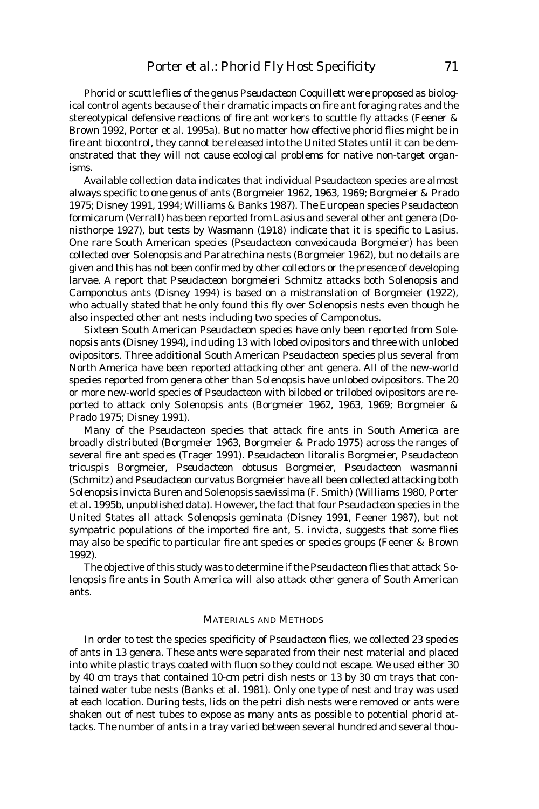Phorid or scuttle flies of the genus *Pseudacteon* Coquillett were proposed as biological control agents because of their dramatic impacts on fire ant foraging rates and the stereotypical defensive reactions of fire ant workers to scuttle fly attacks (Feener & Brown 1992, Porter et al. 1995a). But no matter how effective phorid flies might be in fire ant biocontrol, they cannot be released into the United States until it can be demonstrated that they will not cause ecological problems for native non-target organisms.

Available collection data indicates that individual *Pseudacteon* species are almost always specific to one genus of ants (Borgmeier 1962, 1963, 1969; Borgmeier & Prado 1975; Disney 1991, 1994; Williams & Banks 1987). The European species *Pseudacteon formicarum* (Verrall) has been reported from *Lasius* and several other ant genera (Donisthorpe 1927), but tests by Wasmann (1918) indicate that it is specific to *Lasius*. One rare South American species (*Pseudacteon convexicauda* Borgmeier) has been collected over *Solenopsis* and *Paratrechina* nests (Borgmeier 1962), but no details are given and this has not been confirmed by other collectors or the presence of developing larvae. A report that *Pseudacteon borgmeieri* Schmitz attacks both *Solenopsis* and *Camponotus* ants (Disney 1994) is based on a mistranslation of Borgmeier (1922), who actually stated that he only found this fly over *Solenopsis* nests even though he also inspected other ant nests including two species of *Camponotus*.

Sixteen South American *Pseudacteon* species have only been reported from *Solenopsis* ants (Disney 1994), including 13 with lobed ovipositors and three with unlobed ovipositors. Three additional South American *Pseudacteon* species plus several from North America have been reported attacking other ant genera. All of the new-world species reported from genera other than *Solenopsis* have unlobed ovipositors. The 20 or more new-world species of *Pseudacteon* with bilobed or trilobed ovipositors are reported to attack only *Solenopsis* ants (Borgmeier 1962, 1963, 1969; Borgmeier & Prado 1975; Disney 1991).

Many of the *Pseudacteon* species that attack fire ants in South America are broadly distributed (Borgmeier 1963, Borgmeier & Prado 1975) across the ranges of several fire ant species (Trager 1991). *Pseudacteon litoralis* Borgmeier, *Pseudacteon tricuspis* Borgmeier, *Pseudacteon obtusus* Borgmeier, *Pseudacteon wasmanni* (Schmitz) and *Pseudacteon curvatus* Borgmeier have all been collected attacking both *Solenopsis invicta* Buren and *Solenopsis saevissima* (F. Smith) (Williams 1980, Porter et al. 1995b, unpublished data). However, the fact that four *Pseudacteon* species in the United States all attack *Solenopsis geminata* (Disney 1991, Feener 1987), but not sympatric populations of the imported fire ant, *S. invicta*, suggests that some flies may also be specific to particular fire ant species or species groups (Feener & Brown 1992).

The objective of this study was to determine if the *Pseudacteon* flies that attack *Solenopsis* fire ants in South America will also attack other genera of South American ants.

#### MATERIALS AND METHODS

In order to test the species specificity of *Pseudacteon* flies, we collected 23 species of ants in 13 genera. These ants were separated from their nest material and placed into white plastic trays coated with fluon so they could not escape. We used either 30 by 40 cm trays that contained 10-cm petri dish nests or 13 by 30 cm trays that contained water tube nests (Banks et al. 1981). Only one type of nest and tray was used at each location. During tests, lids on the petri dish nests were removed or ants were shaken out of nest tubes to expose as many ants as possible to potential phorid attacks. The number of ants in a tray varied between several hundred and several thou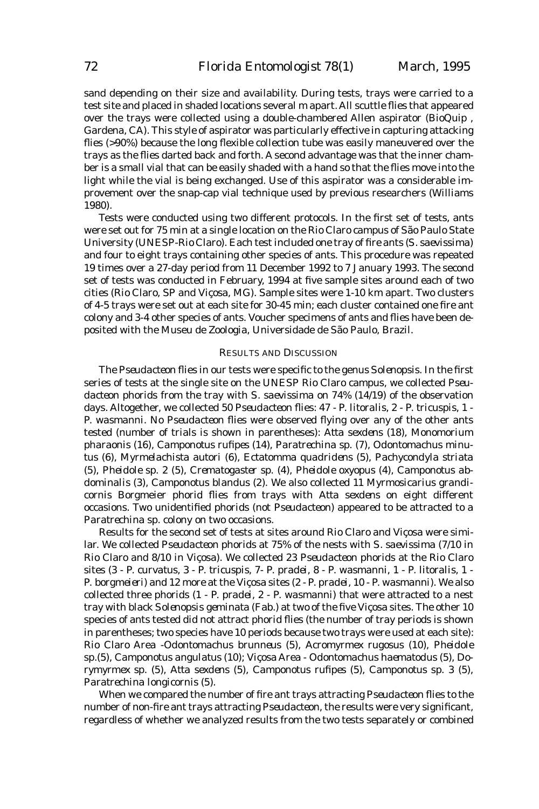sand depending on their size and availability. During tests, trays were carried to a test site and placed in shaded locations several m apart. All scuttle flies that appeared over the trays were collected using a double-chambered Allen aspirator (BioQuip , Gardena, CA). This style of aspirator was particularly effective in capturing attacking flies (>90%) because the long flexible collection tube was easily maneuvered over the trays as the flies darted back and forth. A second advantage was that the inner chamber is a small vial that can be easily shaded with a hand so that the flies move into the light while the vial is being exchanged. Use of this aspirator was a considerable improvement over the snap-cap vial technique used by previous researchers (Williams 1980).

Tests were conducted using two different protocols. In the first set of tests, ants were set out for 75 min at a single location on the Rio Claro campus of São Paulo State University (UNESP-Rio Claro). Each test included one tray of fire ants (*S. saevissima*) and four to eight trays containing other species of ants. This procedure was repeated 19 times over a 27-day period from 11 December 1992 to 7 January 1993. The second set of tests was conducted in February, 1994 at five sample sites around each of two cities (Rio Claro, SP and Viçosa, MG). Sample sites were 1-10 km apart. Two clusters of 4-5 trays were set out at each site for 30-45 min; each cluster contained one fire ant colony and 3-4 other species of ants. Voucher specimens of ants and flies have been deposited with the Museu de Zoologia, Universidade de São Paulo, Brazil.

#### RESULTS AND DISCUSSION

The *Pseudacteon* flies in our tests were specific to the genus *Solenopsis*. In the first series of tests at the single site on the UNESP Rio Claro campus, we collected *Pseudacteon* phorids from the tray with *S. saevissima* on 74% (14/19) of the observation days. Altogether, we collected 50 *Pseudacteon* flies: 47 - *P. litoralis*, 2 - *P. tricuspis*, 1 - *P. wasmanni*. No *Pseudacteon* flies were observed flying over any of the other ants tested (number of trials is shown in parentheses): *Atta sexdens* (18), *Monomorium pharaonis* (16), *Camponotus rufipes* (14), *Paratrechina sp.* (7), *Odontomachus minutus* (6), *Myrmelachista autori* (6), *Ectatomma quadridens* (5), *Pachycondyla striata* (5), *Pheidole* sp. 2 (5), *Crematogaster sp.* (4), *Pheidole oxyopus* (4), *Camponotus abdominalis* (3), *Camponotus blandus* (2). We also collected 11 *Myrmosicarius grandicornis* Borgmeier phorid flies from trays with *Atta sexdens* on eight different occasions. Two unidentified phorids (not *Pseudacteon*) appeared to be attracted to a *Paratrechina* sp. colony on two occasions.

Results for the second set of tests at sites around Rio Claro and Viçosa were similar. We collected *Pseudacteon* phorids at 75% of the nests with *S. saevissima* (7/10 in Rio Claro and 8/10 in Viçosa). We collected 23 *Pseudacteon* phorids at the Rio Claro sites (3 - *P. curvatus*, 3 - *P. tricuspis*, 7- *P. pradei*, 8 - *P. wasmanni*, 1 - *P. litoralis*, 1 - *P. borgmeieri*) and 12 more at the Viçosa sites (2 - *P. pradei*, 10 - *P. wasmanni*). We also collected three phorids (1 - *P. pradei*, 2 - *P. wasmanni*) that were attracted to a nest tray with black *Solenopsis geminata* (Fab.) at two of the five Viçosa sites. The other 10 species of ants tested did not attract phorid flies (the number of tray periods is shown in parentheses; two species have 10 periods because two trays were used at each site): Rio Claro Area -*Odontomachus brunneus* (5)*, Acromyrmex rugosus* (10)*, Pheidole* sp.(5), *Camponotus angulatus* (10); Viçosa Area - *Odontomachus haematodus* (5), *Dorymyrmex sp.* (5), *Atta sexdens* (5), *Camponotus rufipes* (5), *Camponotus* sp. 3 (5), *Paratrechina longicornis* (5).

When we compared the number of fire ant trays attracting *Pseudacteon* flies to the number of non-fire ant trays attracting *Pseudacteon,* the results were very significant, regardless of whether we analyzed results from the two tests separately or combined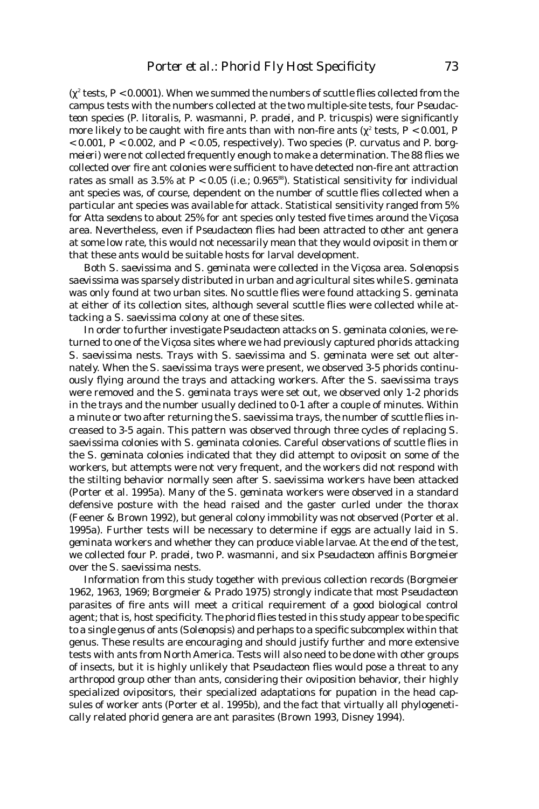( $\chi^2$  tests, P < 0.0001). When we summed the numbers of scuttle flies collected from the campus tests with the numbers collected at the two multiple-site tests, four *Pseudacteon* species (*P. litoralis, P. wasmanni, P. pradei,* and *P. tricuspis*) were significantly more likely to be caught with fire ants than with non-fire ants ( $\chi^{\rm z}$  tests, P < 0.001, P < 0.001, P < 0.002, and P < 0.05, respectively). Two species (*P. curvatus* and *P. borgmeieri*) were not collected frequently enough to make a determination. The 88 flies we collected over fire ant colonies were sufficient to have detected non-fire ant attraction rates as small as 3.5% at  $P < 0.05$  (i.e.; 0.965<sup>88</sup>). Statistical sensitivity for individual ant species was, of course, dependent on the number of scuttle flies collected when a particular ant species was available for attack. Statistical sensitivity ranged from 5% for *Atta sexdens* to about 25% for ant species only tested five times around the Viçosa area. Nevertheless, even if *Pseudacteon* flies had been attracted to other ant genera at some low rate, this would not necessarily mean that they would oviposit in them or that these ants would be suitable hosts for larval development.

Both *S. saevissima* and *S. geminata* were collected in the Viçosa area. *Solenopsis saevissima* was sparsely distributed in urban and agricultural sites while *S. geminata* was only found at two urban sites. No scuttle flies were found attacking *S. geminata* at either of its collection sites, although several scuttle flies were collected while attacking a *S. saevissima* colony at one of these sites.

In order to further investigate *Pseudacteon* attacks on *S. geminata* colonies, we returned to one of the Viçosa sites where we had previously captured phorids attacking *S. saevissima* nests. Trays with *S. saevissima* and *S. geminata* were set out alternately. When the *S. saevissima* trays were present, we observed 3-5 phorids continuously flying around the trays and attacking workers. After the *S. saevissima* trays were removed and the *S. geminat*a trays were set out, we observed only 1-2 phorids in the trays and the number usually declined to 0-1 after a couple of minutes. Within a minute or two after returning the *S. saevissima* trays, the number of scuttle flies increased to 3-5 again. This pattern was observed through three cycles of replacing *S. saevissima* colonies with *S. geminata* colonies. Careful observations of scuttle flies in the *S. geminata* colonies indicated that they did attempt to oviposit on some of the workers, but attempts were not very frequent, and the workers did not respond with the stilting behavior normally seen after *S. saevissima* workers have been attacked (Porter et al. 1995a). Many of the *S. geminata* workers were observed in a standard defensive posture with the head raised and the gaster curled under the thorax (Feener & Brown 1992), but general colony immobility was not observed (Porter et al. 1995a). Further tests will be necessary to determine if eggs are actually laid in *S. geminata* workers and whether they can produce viable larvae. At the end of the test, we collected four *P. pradei*, two *P. wasmanni*, and six *Pseudacteon affinis* Borgmeier over the *S. saevissima* nests.

Information from this study together with previous collection records (Borgmeier 1962, 1963, 1969; Borgmeier & Prado 1975) strongly indicate that most *Pseudacteon* parasites of fire ants will meet a critical requirement of a good biological control agent; that is, host specificity. The phorid flies tested in this study appear to be specific to a single genus of ants (*Solenopsis*) and perhaps to a specific subcomplex within that genus. These results are encouraging and should justify further and more extensive tests with ants from North America. Tests will also need to be done with other groups of insects, but it is highly unlikely that *Pseudacteon* flies would pose a threat to any arthropod group other than ants, considering their oviposition behavior, their highly specialized ovipositors, their specialized adaptations for pupation in the head capsules of worker ants (Porter et al. 1995b), and the fact that virtually all phylogenetically related phorid genera are ant parasites (Brown 1993, Disney 1994).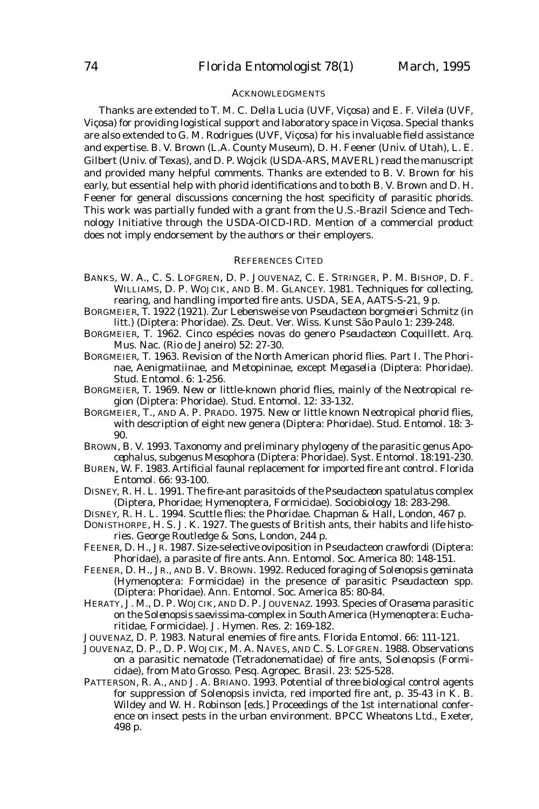## ACKNOWLEDGMENTS

Thanks are extended to T. M. C. Della Lucia (UVF, Viçosa) and E. F. Vilela (UVF, Viçosa) for providing logistical support and laboratory space in Viçosa. Special thanks are also extended to G. M. Rodrigues (UVF, Viçosa) for his invaluable field assistance and expertise. B. V. Brown (L.A. County Museum), D. H. Feener (Univ. of Utah), L. E. Gilbert (Univ. of Texas), and D. P. Wojcik (USDA-ARS, MAVERL) read the manuscript and provided many helpful comments. Thanks are extended to B. V. Brown for his early, but essential help with phorid identifications and to both B. V. Brown and D. H. Feener for general discussions concerning the host specificity of parasitic phorids. This work was partially funded with a grant from the U.S.-Brazil Science and Technology Initiative through the USDA-OICD-IRD. Mention of a commercial product does not imply endorsement by the authors or their employers.

#### REFERENCES CITED

- BANKS, W. A., C. S. LOFGREN, D. P. JOUVENAZ, C. E. STRINGER, P. M. BISHOP, D. F. WILLIAMS, D. P. WOJCIK, AND B. M. GLANCEY. 1981. Techniques for collecting, rearing, and handling imported fire ants. USDA, SEA, AATS-S-21, 9 p.
- BORGMEIER, T. 1922 (1921). Zur Lebensweise von *Pseudacteon borgmeieri* Schmitz (in litt.) (Diptera: Phoridae). Zs. Deut. Ver. Wiss. Kunst São Paulo 1: 239-248.
- BORGMEIER, T. 1962. Cinco espécies novas do genero *Pseudacteon* Coquillett. Arq. Mus. Nac. (Rio de Janeiro) 52: 27-30.
- BORGMEIER, T. 1963. Revision of the North American phorid flies. Part I. The Phorinae, Aenigmatiinae, and Metopininae, except *Megaselia* (Diptera: Phoridae). Stud. Entomol. 6: 1-256.
- BORGMEIER, T. 1969. New or little-known phorid flies, mainly of the Neotropical region (Diptera: Phoridae). Stud. Entomol. 12: 33-132.
- BORGMEIER, T., AND A. P. PRADO. 1975. New or little known Neotropical phorid flies, with description of eight new genera (Diptera: Phoridae). Stud. Entomol. 18: 3- 90.
- BROWN, B. V. 1993. Taxonomy and preliminary phylogeny of the parasitic genus *Apocephalus*, subgenus *Mesophora* (Diptera: Phoridae). Syst. Entomol. 18:191-230.
- BUREN, W. F. 1983. Artificial faunal replacement for imported fire ant control. Florida Entomol. 66: 93-100.
- DISNEY, R. H. L. 1991. The fire-ant parasitoids of the *Pseudacteon spatulatus* complex (Diptera, Phoridae; Hymenoptera, Formicidae). Sociobiology 18: 283-298.
- DISNEY, R. H. L. 1994. Scuttle flies: the Phoridae. Chapman & Hall, London, 467 p.
- DONISTHORPE, H. S. J. K. 1927. The guests of British ants, their habits and life histories. George Routledge & Sons, London, 244 p.
- FEENER, D. H., JR. 1987. Size-selective oviposition in Pseudacteon crawfordi (Diptera: Phoridae), a parasite of fire ants. Ann. Entomol. Soc. America 80: 148-151.
- FEENER, D. H., JR., AND B. V. BROWN. 1992. Reduced foraging of *Solenopsis geminata* (Hymenoptera: Formicidae) in the presence of parasitic *Pseudacteon* spp. (Diptera: Phoridae). Ann. Entomol. Soc. America 85: 80-84.
- HERATY, J. M., D. P. WOJCIK, AND D. P. JOUVENAZ. 1993. Species of *Orasema* parasitic on the *Solenopsis saevissima*-complex in South America (Hymenoptera: Eucharitidae, Formicidae). J. Hymen. Res. 2: 169-182.
- JOUVENAZ, D. P. 1983. Natural enemies of fire ants. Florida Entomol. 66: 111-121.
- JOUVENAZ, D. P., D. P. WOJCIK, M. A. NAVES, AND C. S. LOFGREN. 1988. Observations on a parasitic nematode (Tetradonematidae) of fire ants, *Solenopsis* (Formicidae), from Mato Grosso. Pesq. Agropec. Brasil. 23: 525-528.
- PATTERSON, R. A., AND J. A. BRIANO. 1993. Potential of three biological control agents for suppression of *Solenopsis invicta*, red imported fire ant, p. 35-43 *in* K. B. Wildey and W. H. Robinson [eds.] Proceedings of the 1st international conference on insect pests in the urban environment. BPCC Wheatons Ltd., Exeter, 498 p.